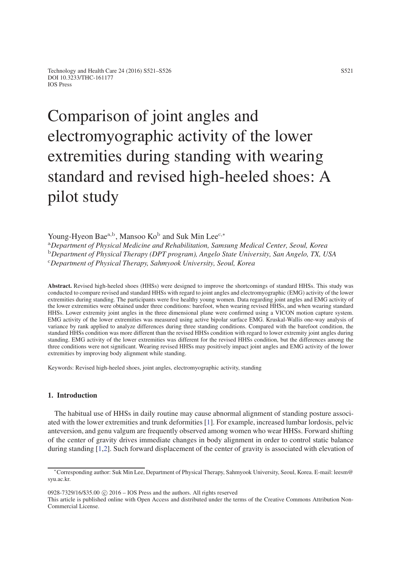# Comparison of joint angles and electromyographic activity of the lower extremities during standing with wearing standard and revised high-heeled shoes: A pilot study

Young-Hyeon Bae<sup>a,b</sup>, Mansoo Ko<sup>b</sup> and Suk Min Lee<sup>c,∗</sup> <sup>a</sup>*Department of Physical Medicine and Rehabilitation, Samsung Medical Center, Seoul, Korea* <sup>b</sup>*Department of Physical Therapy (DPT program), Angelo State University, San Angelo, TX, USA* <sup>c</sup>*Department of Physical Therapy, Sahmyook University, Seoul, Korea*

Abstract. Revised high-heeled shoes (HHSs) were designed to improve the shortcomings of standard HHSs. This study was conducted to compare revised and standard HHSs with regard to joint angles and electromyographic (EMG) activity of the lower extremities during standing. The participants were five healthy young women. Data regarding joint angles and EMG activity of the lower extremities were obtained under three conditions: barefoot, when wearing revised HHSs, and when wearing standard HHSs. Lower extremity joint angles in the three dimensional plane were confirmed using a VICON motion capture system. EMG activity of the lower extremities was measured using active bipolar surface EMG. Kruskal-Wallis one-way analysis of variance by rank applied to analyze differences during three standing conditions. Compared with the barefoot condition, the standard HHSs condition was more different than the revised HHSs condition with regard to lower extremity joint angles during standing. EMG activity of the lower extremities was different for the revised HHSs condition, but the differences among the three conditions were not significant. Wearing revised HHSs may positively impact joint angles and EMG activity of the lower extremities by improving body alignment while standing.

Keywords: Revised high-heeled shoes, joint angles, electromyographic activity, standing

# 1. Introduction

The habitual use of HHSs in daily routine may cause abnormal alignment of standing posture associated with the lower extremities and trunk deformities [\[1\]](#page-4-0). For example, increased lumbar lordosis, pelvic anteversion, and genu valgum are frequently observed among women who wear HHSs. Forward shifting of the center of gravity drives immediate changes in body alignment in order to control static balance during standing [\[1,](#page-4-0)[2\]](#page-5-0). Such forward displacement of the center of gravity is associated with elevation of

 $0928-7329/16/$ \$35.00  $\odot$  2016 – IOS Press and the authors. All rights reserved

This article is published online with Open Access and distributed under the terms of the Creative Commons Attribution Non-Commercial License.

<sup>∗</sup>Corresponding author: Suk Min Lee, Department of Physical Therapy, Sahmyook University, Seoul, Korea. E-mail: leesm@ syu.ac.kr.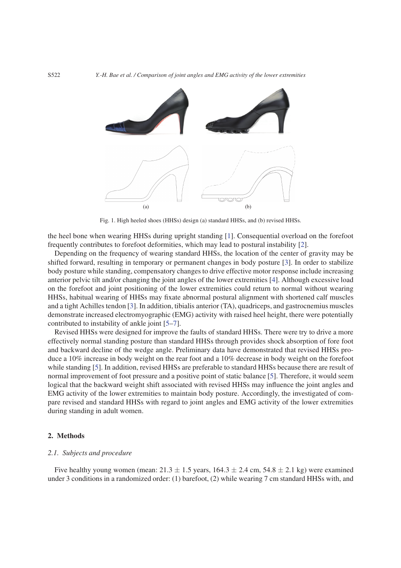

Fig. 1. High heeled shoes (HHSs) design (a) standard HHSs, and (b) revised HHSs.

the heel bone when wearing HHSs during upright standing [\[1\]](#page-4-0). Consequential overload on the forefoot frequently contributes to forefoot deformities, which may lead to postural instability [\[2\]](#page-5-0).

Depending on the frequency of wearing standard HHSs, the location of the center of gravity may be shifted forward, resulting in temporary or permanent changes in body posture [\[3\]](#page-5-1). In order to stabilize body posture while standing, compensatory changes to drive effective motor response include increasing anterior pelvic tilt and/or changing the joint angles of the lower extremities [\[4\]](#page-5-2). Although excessive load on the forefoot and joint positioning of the lower extremities could return to normal without wearing HHSs, habitual wearing of HHSs may fixate abnormal postural alignment with shortened calf muscles and a tight Achilles tendon [\[3\]](#page-5-1). In addition, tibialis anterior (TA), quadriceps, and gastrocnemius muscles demonstrate increased electromyographic (EMG) activity with raised heel height, there were potentially contributed to instability of ankle joint [\[5–](#page-5-3)[7\]](#page-5-4).

Revised HHSs were designed for improve the faults of standard HHSs. There were try to drive a more effectively normal standing posture than standard HHSs through provides shock absorption of fore foot and backward decline of the wedge angle. Preliminary data have demonstrated that revised HHSs produce a 10% increase in body weight on the rear foot and a 10% decrease in body weight on the forefoot while standing [\[5\]](#page-5-3). In addition, revised HHSs are preferable to standard HHSs because there are result of normal improvement of foot pressure and a positive point of static balance [\[5\]](#page-5-3). Therefore, it would seem logical that the backward weight shift associated with revised HHSs may influence the joint angles and EMG activity of the lower extremities to maintain body posture. Accordingly, the investigated of compare revised and standard HHSs with regard to joint angles and EMG activity of the lower extremities during standing in adult women.

# 2. Methods

# *2.1. Subjects and procedure*

Five healthy young women (mean:  $21.3 \pm 1.5$  years,  $164.3 \pm 2.4$  cm,  $54.8 \pm 2.1$  kg) were examined under 3 conditions in a randomized order: (1) barefoot, (2) while wearing 7 cm standard HHSs with, and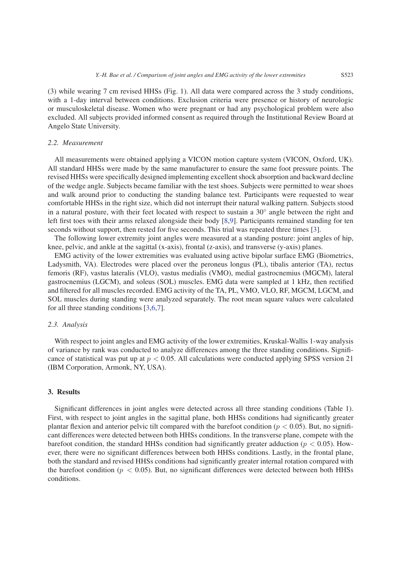(3) while wearing 7 cm revised HHSs (Fig. 1). All data were compared across the 3 study conditions, with a 1-day interval between conditions. Exclusion criteria were presence or history of neurologic or musculoskeletal disease. Women who were pregnant or had any psychological problem were also excluded. All subjects provided informed consent as required through the Institutional Review Board at Angelo State University.

#### *2.2. Measurement*

All measurements were obtained applying a VICON motion capture system (VICON, Oxford, UK). All standard HHSs were made by the same manufacturer to ensure the same foot pressure points. The revised HHSs were specifically designed implementing excellent shock absorption and backward decline of the wedge angle. Subjects became familiar with the test shoes. Subjects were permitted to wear shoes and walk around prior to conducting the standing balance test. Participants were requested to wear comfortable HHSs in the right size, which did not interrupt their natural walking pattern. Subjects stood in a natural posture, with their feet located with respect to sustain a  $30^\circ$  angle between the right and left first toes with their arms relaxed alongside their body [\[8](#page-5-5)[,9\]](#page-5-6). Participants remained standing for ten seconds without support, then rested for five seconds. This trial was repeated three times [\[3\]](#page-5-1).

The following lower extremity joint angles were measured at a standing posture: joint angles of hip, knee, pelvic, and ankle at the sagittal (x-axis), frontal (z-axis), and transverse (y-axis) planes.

EMG activity of the lower extremities was evaluated using active bipolar surface EMG (Biometrics, Ladysmith, VA). Electrodes were placed over the peroneus longus (PL), tibalis anterior (TA), rectus femoris (RF), vastus lateralis (VLO), vastus medialis (VMO), medial gastrocnemius (MGCM), lateral gastrocnemius (LGCM), and soleus (SOL) muscles. EMG data were sampled at 1 kHz, then rectified and filtered for all muscles recorded. EMG activity of the TA, PL, VMO, VLO, RF, MGCM, LGCM, and SOL muscles during standing were analyzed separately. The root mean square values were calculated for all three standing conditions [\[3](#page-5-1)[,6](#page-5-7)[,7\]](#page-5-4).

#### *2.3. Analysis*

With respect to joint angles and EMG activity of the lower extremities, Kruskal-Wallis 1-way analysis of variance by rank was conducted to analyze differences among the three standing conditions. Significance of statistical was put up at *p <* 0.05. All calculations were conducted applying SPSS version 21 (IBM Corporation, Armonk, NY, USA).

# 3. Results

Significant differences in joint angles were detected across all three standing conditions (Table 1). First, with respect to joint angles in the sagittal plane, both HHSs conditions had significantly greater plantar flexion and anterior pelvic tilt compared with the barefoot condition (*p <* 0.05). But, no significant differences were detected between both HHSs conditions. In the transverse plane, compete with the barefoot condition, the standard HHSs condition had significantly greater adduction (*p <* 0.05). However, there were no significant differences between both HHSs conditions. Lastly, in the frontal plane, both the standard and revised HHSs conditions had significantly greater internal rotation compared with the barefoot condition ( $p < 0.05$ ). But, no significant differences were detected between both HHSs conditions.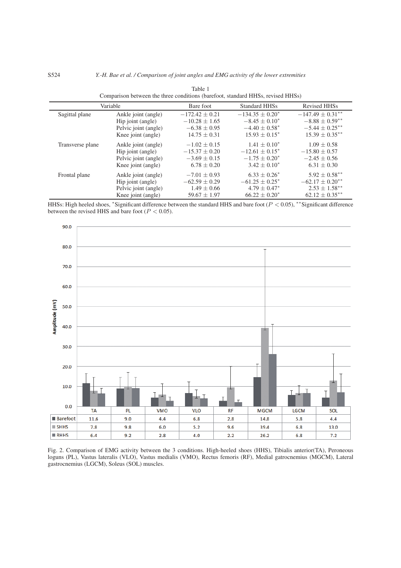| Variable         |                      | Bare foot         | <b>Standard HHSs</b> | <b>Revised HHSs</b>             |
|------------------|----------------------|-------------------|----------------------|---------------------------------|
| Sagittal plane   | Ankle joint (angle)  | $-172.42 + 0.21$  | $-134.35 \pm 0.20^*$ | $-147.49 \pm 0.31***$           |
|                  | Hip joint (angle)    | $-10.28 \pm 1.65$ | $-8.45 \pm 0.10^*$   | $-8.88 \pm 0.59$ **             |
|                  | Pelvic joint (angle) | $-6.38 \pm 0.95$  | $-4.40 \pm 0.58^*$   | $-5.44 \pm 0.25$ **             |
|                  | Knee joint (angle)   | $14.75 \pm 0.31$  | $15.93 + 0.15^*$     | $15.39 \pm 0.35***$             |
| Transverse plane | Ankle joint (angle)  | $-1.02 \pm 0.15$  | $1.41 \pm 0.10^*$    | $1.09 \pm 0.58$                 |
|                  | Hip joint (angle)    | $-15.37 \pm 0.20$ | $-12.61 \pm 0.15^*$  | $-15.80 \pm 0.57$               |
|                  | Pelvic joint (angle) | $-3.69 \pm 0.15$  | $-1.75 \pm 0.20^*$   | $-2.45 \pm 0.56$                |
|                  | Knee joint (angle)   | $6.78 \pm 0.20$   | $3.42 \pm 0.10^*$    | $6.31 \pm 0.30$                 |
| Frontal plane    | Ankle joint (angle)  | $-7.01 \pm 0.93$  | $6.33 \pm 0.26^*$    | $5.92 \pm 0.58***$              |
|                  | Hip joint (angle)    | $-62.59 \pm 0.29$ | $-61.25 \pm 0.25^*$  | $-62.17 \pm 0.20$ <sup>**</sup> |
|                  | Pelvic joint (angle) | $1.49 \pm 0.66$   | $4.79 \pm 0.47^*$    | $2.53 \pm 1.58$ <sup>**</sup>   |
|                  | Knee joint (angle)   | $59.67 \pm 1.97$  | $66.22 \pm 0.20^*$   | $62.12 \pm 0.35$ **             |

Table 1 Comparison between the three conditions (barefoot, standard HHSs, revised HHSs)

HHSs: High heeled shoes, <sup>∗</sup>Significant difference between the standard HHS and bare foot (*P <* 0.05), ∗∗Significant difference between the revised HHS and bare foot (*P <* 0.05).



Fig. 2. Comparison of EMG activity between the 3 conditions. High-heeled shoes (HHS), Tibialis anterior(TA), Peroneous loguns (PL), Vastus lateralis (VLO), Vastus medialis (VMO), Rectus femoris (RF), Medial gatrocnemius (MGCM), Lateral gastrocnemius (LGCM), Soleus (SOL) muscles.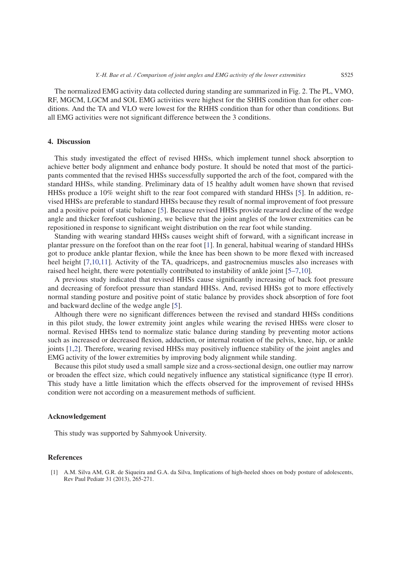The normalized EMG activity data collected during standing are summarized in Fig. 2. The PL, VMO, RF, MGCM, LGCM and SOL EMG activities were highest for the SHHS condition than for other conditions. And the TA and VLO were lowest for the RHHS condition than for other than conditions. But all EMG activities were not significant difference between the 3 conditions.

#### 4. Discussion

This study investigated the effect of revised HHSs, which implement tunnel shock absorption to achieve better body alignment and enhance body posture. It should be noted that most of the participants commented that the revised HHSs successfully supported the arch of the foot, compared with the standard HHSs, while standing. Preliminary data of 15 healthy adult women have shown that revised HHSs produce a 10% weight shift to the rear foot compared with standard HHSs [\[5\]](#page-5-3). In addition, revised HHSs are preferable to standard HHSs because they result of normal improvement of foot pressure and a positive point of static balance [\[5\]](#page-5-3). Because revised HHSs provide rearward decline of the wedge angle and thicker forefoot cushioning, we believe that the joint angles of the lower extremities can be repositioned in response to significant weight distribution on the rear foot while standing.

Standing with wearing standard HHSs causes weight shift of forward, with a significant increase in plantar pressure on the forefoot than on the rear foot [\[1\]](#page-4-0). In general, habitual wearing of standard HHSs got to produce ankle plantar flexion, while the knee has been shown to be more flexed with increased heel height [\[7,](#page-5-4)[10,](#page-5-8)[11\]](#page-5-9). Activity of the TA, quadriceps, and gastrocnemius muscles also increases with raised heel height, there were potentially contributed to instability of ankle joint [\[5–](#page-5-3)[7,](#page-5-4)[10\]](#page-5-8).

A previous study indicated that revised HHSs cause significantly increasing of back foot pressure and decreasing of forefoot pressure than standard HHSs. And, revised HHSs got to more effectively normal standing posture and positive point of static balance by provides shock absorption of fore foot and backward decline of the wedge angle [\[5\]](#page-5-3).

Although there were no significant differences between the revised and standard HHSs conditions in this pilot study, the lower extremity joint angles while wearing the revised HHSs were closer to normal. Revised HHSs tend to normalize static balance during standing by preventing motor actions such as increased or decreased flexion, adduction, or internal rotation of the pelvis, knee, hip, or ankle joints [\[1](#page-4-0)[,2\]](#page-5-0). Therefore, wearing revised HHSs may positively influence stability of the joint angles and EMG activity of the lower extremities by improving body alignment while standing.

Because this pilot study used a small sample size and a cross-sectional design, one outlier may narrow or broaden the effect size, which could negatively influence any statistical significance (type II error). This study have a little limitation which the effects observed for the improvement of revised HHSs condition were not according on a measurement methods of sufficient.

#### Acknowledgement

This study was supported by Sahmyook University.

# References

<span id="page-4-0"></span>[1] A.M. Silva AM, G.R. de Siqueira and G.A. da Silva, Implications of high-heeled shoes on body posture of adolescents, Rev Paul Pediatr 31 (2013), 265-271.